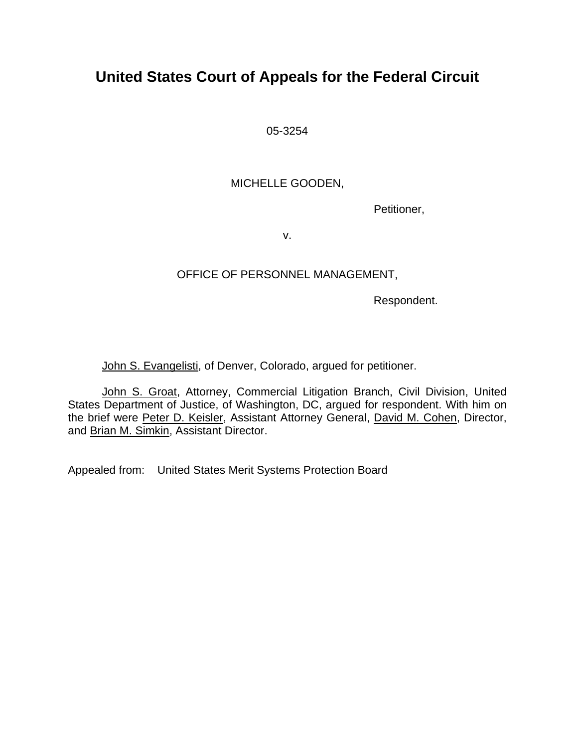# **United States Court of Appeals for the Federal Circuit**

05-3254

## MICHELLE GOODEN,

Petitioner,

v.

## OFFICE OF PERSONNEL MANAGEMENT,

Respondent.

John S. Evangelisti, of Denver, Colorado, argued for petitioner.

John S. Groat, Attorney, Commercial Litigation Branch, Civil Division, United States Department of Justice, of Washington, DC, argued for respondent. With him on the brief were Peter D. Keisler, Assistant Attorney General, David M. Cohen, Director, and Brian M. Simkin, Assistant Director.

Appealed from: United States Merit Systems Protection Board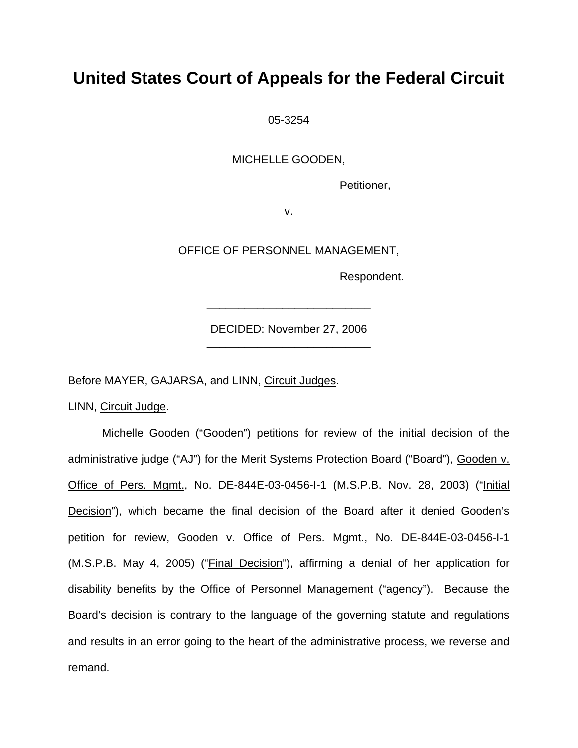# **United States Court of Appeals for the Federal Circuit**

05-3254

MICHELLE GOODEN,

Petitioner,

v.

OFFICE OF PERSONNEL MANAGEMENT,

Respondent.

DECIDED: November 27, 2006 \_\_\_\_\_\_\_\_\_\_\_\_\_\_\_\_\_\_\_\_\_\_\_\_\_\_

\_\_\_\_\_\_\_\_\_\_\_\_\_\_\_\_\_\_\_\_\_\_\_\_\_\_

Before MAYER, GAJARSA, and LINN, Circuit Judges.

LINN, Circuit Judge.

 Michelle Gooden ("Gooden") petitions for review of the initial decision of the administrative judge ("AJ") for the Merit Systems Protection Board ("Board"), Gooden v. Office of Pers. Mgmt., No. DE-844E-03-0456-I-1 (M.S.P.B. Nov. 28, 2003) ("Initial Decision"), which became the final decision of the Board after it denied Gooden's petition for review, Gooden v. Office of Pers. Mgmt., No. DE-844E-03-0456-I-1 (M.S.P.B. May 4, 2005) ("Final Decision"), affirming a denial of her application for disability benefits by the Office of Personnel Management ("agency"). Because the Board's decision is contrary to the language of the governing statute and regulations and results in an error going to the heart of the administrative process, we reverse and remand.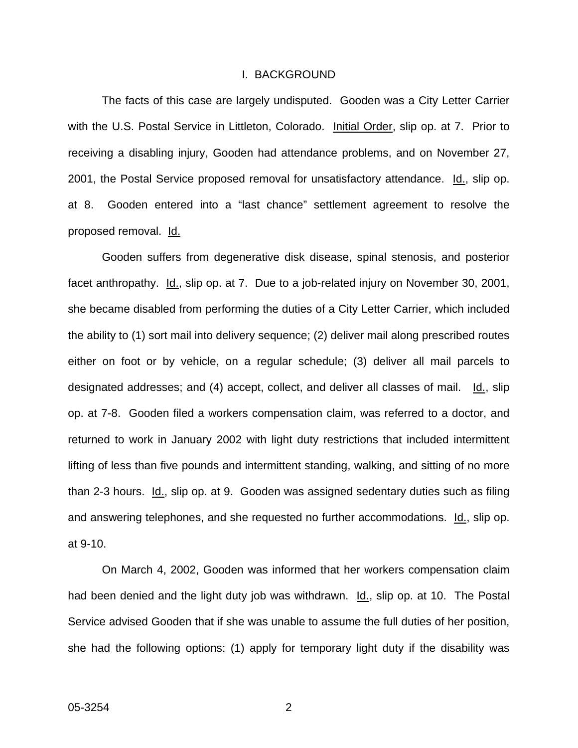#### I. BACKGROUND

The facts of this case are largely undisputed. Gooden was a City Letter Carrier with the U.S. Postal Service in Littleton, Colorado. Initial Order, slip op. at 7. Prior to receiving a disabling injury, Gooden had attendance problems, and on November 27, 2001, the Postal Service proposed removal for unsatisfactory attendance. Id., slip op. at 8. Gooden entered into a "last chance" settlement agreement to resolve the proposed removal. Id.

Gooden suffers from degenerative disk disease, spinal stenosis, and posterior facet anthropathy. Id., slip op. at 7. Due to a job-related injury on November 30, 2001, she became disabled from performing the duties of a City Letter Carrier, which included the ability to (1) sort mail into delivery sequence; (2) deliver mail along prescribed routes either on foot or by vehicle, on a regular schedule; (3) deliver all mail parcels to designated addresses; and (4) accept, collect, and deliver all classes of mail. Id., slip op. at 7-8. Gooden filed a workers compensation claim, was referred to a doctor, and returned to work in January 2002 with light duty restrictions that included intermittent lifting of less than five pounds and intermittent standing, walking, and sitting of no more than 2-3 hours. Id., slip op. at 9. Gooden was assigned sedentary duties such as filing and answering telephones, and she requested no further accommodations. Id., slip op. at 9-10.

On March 4, 2002, Gooden was informed that her workers compensation claim had been denied and the light duty job was withdrawn. Id., slip op. at 10. The Postal Service advised Gooden that if she was unable to assume the full duties of her position, she had the following options: (1) apply for temporary light duty if the disability was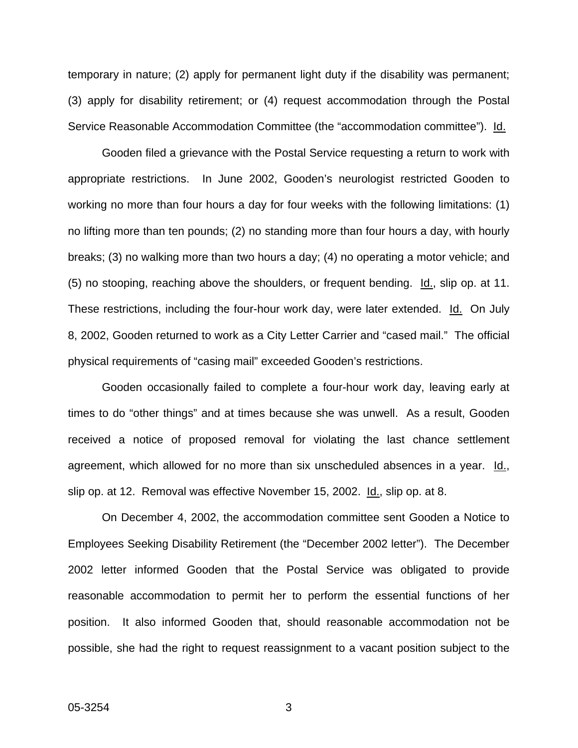temporary in nature; (2) apply for permanent light duty if the disability was permanent; (3) apply for disability retirement; or (4) request accommodation through the Postal Service Reasonable Accommodation Committee (the "accommodation committee"). Id.

Gooden filed a grievance with the Postal Service requesting a return to work with appropriate restrictions. In June 2002, Gooden's neurologist restricted Gooden to working no more than four hours a day for four weeks with the following limitations: (1) no lifting more than ten pounds; (2) no standing more than four hours a day, with hourly breaks; (3) no walking more than two hours a day; (4) no operating a motor vehicle; and (5) no stooping, reaching above the shoulders, or frequent bending.  $\underline{Id}$ , slip op. at 11. These restrictions, including the four-hour work day, were later extended. Id. On July 8, 2002, Gooden returned to work as a City Letter Carrier and "cased mail." The official physical requirements of "casing mail" exceeded Gooden's restrictions.

Gooden occasionally failed to complete a four-hour work day, leaving early at times to do "other things" and at times because she was unwell. As a result, Gooden received a notice of proposed removal for violating the last chance settlement agreement, which allowed for no more than six unscheduled absences in a year. Id., slip op. at 12. Removal was effective November 15, 2002. Id., slip op. at 8.

On December 4, 2002, the accommodation committee sent Gooden a Notice to Employees Seeking Disability Retirement (the "December 2002 letter"). The December 2002 letter informed Gooden that the Postal Service was obligated to provide reasonable accommodation to permit her to perform the essential functions of her position. It also informed Gooden that, should reasonable accommodation not be possible, she had the right to request reassignment to a vacant position subject to the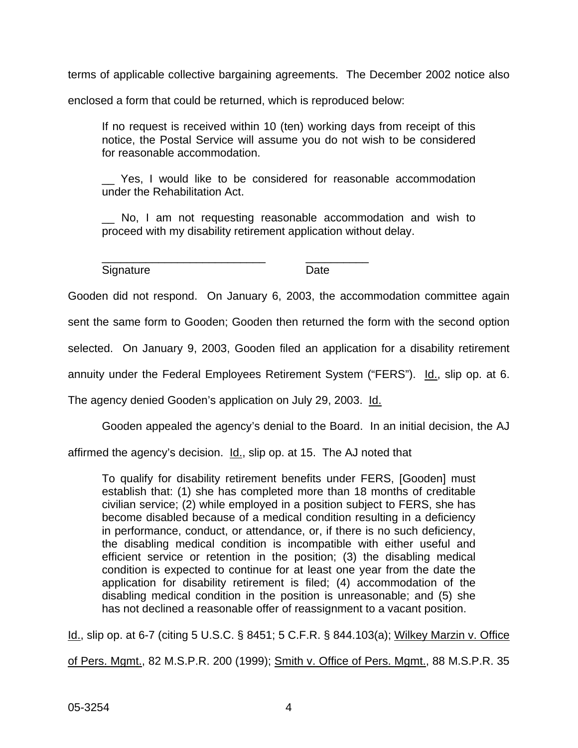terms of applicable collective bargaining agreements. The December 2002 notice also

enclosed a form that could be returned, which is reproduced below:

\_\_\_\_\_\_\_\_\_\_\_\_\_\_\_\_\_\_\_\_\_\_\_\_\_\_ \_\_\_\_\_\_\_\_\_\_

If no request is received within 10 (ten) working days from receipt of this notice, the Postal Service will assume you do not wish to be considered for reasonable accommodation.

Yes, I would like to be considered for reasonable accommodation under the Rehabilitation Act.

\_\_ No, I am not requesting reasonable accommodation and wish to proceed with my disability retirement application without delay.

Signature Date

Gooden did not respond. On January 6, 2003, the accommodation committee again

sent the same form to Gooden; Gooden then returned the form with the second option

selected. On January 9, 2003, Gooden filed an application for a disability retirement

annuity under the Federal Employees Retirement System ("FERS"). Id., slip op. at 6.

The agency denied Gooden's application on July 29, 2003. Id.

Gooden appealed the agency's denial to the Board. In an initial decision, the AJ

affirmed the agency's decision. Id., slip op. at 15. The AJ noted that

To qualify for disability retirement benefits under FERS, [Gooden] must establish that: (1) she has completed more than 18 months of creditable civilian service; (2) while employed in a position subject to FERS, she has become disabled because of a medical condition resulting in a deficiency in performance, conduct, or attendance, or, if there is no such deficiency, the disabling medical condition is incompatible with either useful and efficient service or retention in the position; (3) the disabling medical condition is expected to continue for at least one year from the date the application for disability retirement is filed; (4) accommodation of the disabling medical condition in the position is unreasonable; and (5) she has not declined a reasonable offer of reassignment to a vacant position.

Id., slip op. at 6-7 (citing 5 U.S.C. § 8451; 5 C.F.R. § 844.103(a); Wilkey Marzin v. Office

of Pers. Mgmt., 82 M.S.P.R. 200 (1999); Smith v. Office of Pers. Mgmt., 88 M.S.P.R. 35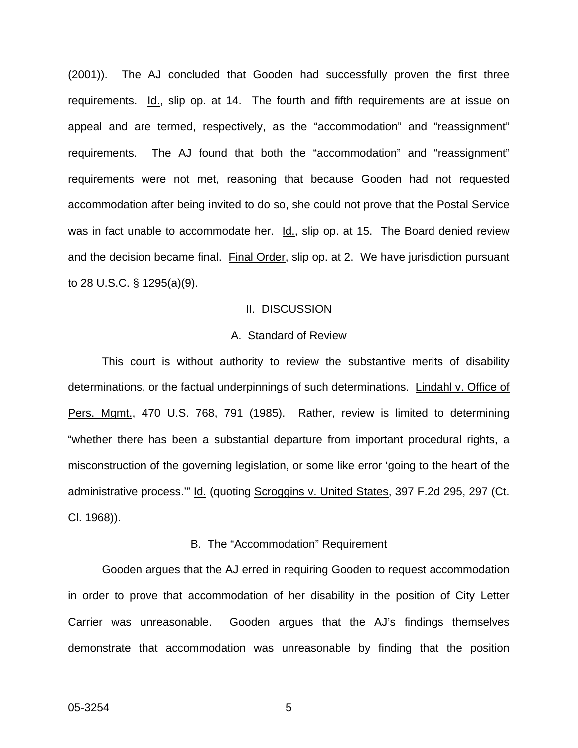(2001)). The AJ concluded that Gooden had successfully proven the first three requirements. Id., slip op. at 14. The fourth and fifth requirements are at issue on appeal and are termed, respectively, as the "accommodation" and "reassignment" requirements. The AJ found that both the "accommodation" and "reassignment" requirements were not met, reasoning that because Gooden had not requested accommodation after being invited to do so, she could not prove that the Postal Service was in fact unable to accommodate her. Id., slip op. at 15. The Board denied review and the decision became final. Final Order, slip op. at 2. We have jurisdiction pursuant to 28 U.S.C. § 1295(a)(9).

#### II. DISCUSSION

#### A. Standard of Review

This court is without authority to review the substantive merits of disability determinations, or the factual underpinnings of such determinations. Lindahl v. Office of Pers. Mgmt., 470 U.S. 768, 791 (1985). Rather, review is limited to determining "whether there has been a substantial departure from important procedural rights, a misconstruction of the governing legislation, or some like error 'going to the heart of the administrative process." Id. (quoting Scroggins v. United States, 397 F.2d 295, 297 (Ct. Cl. 1968)).

#### B. The "Accommodation" Requirement

Gooden argues that the AJ erred in requiring Gooden to request accommodation in order to prove that accommodation of her disability in the position of City Letter Carrier was unreasonable. Gooden argues that the AJ's findings themselves demonstrate that accommodation was unreasonable by finding that the position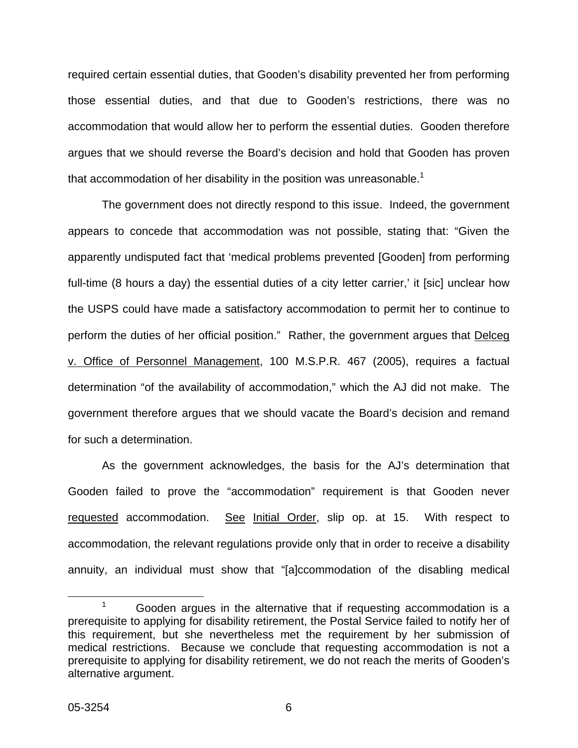required certain essential duties, that Gooden's disability prevented her from performing those essential duties, and that due to Gooden's restrictions, there was no accommodation that would allow her to perform the essential duties. Gooden therefore argues that we should reverse the Board's decision and hold that Gooden has proven that accommodation of her disability in the position was unreasonable.<sup>1</sup>

The government does not directly respond to this issue. Indeed, the government appears to concede that accommodation was not possible, stating that: "Given the apparently undisputed fact that 'medical problems prevented [Gooden] from performing full-time (8 hours a day) the essential duties of a city letter carrier,' it [sic] unclear how the USPS could have made a satisfactory accommodation to permit her to continue to perform the duties of her official position." Rather, the government argues that Delceg v. Office of Personnel Management, 100 M.S.P.R. 467 (2005), requires a factual determination "of the availability of accommodation," which the AJ did not make. The government therefore argues that we should vacate the Board's decision and remand for such a determination.

As the government acknowledges, the basis for the AJ's determination that Gooden failed to prove the "accommodation" requirement is that Gooden never requested accommodation. See Initial Order, slip op. at 15. With respect to accommodation, the relevant regulations provide only that in order to receive a disability annuity, an individual must show that "[a]ccommodation of the disabling medical

 $1 - 1$  Gooden argues in the alternative that if requesting accommodation is a prerequisite to applying for disability retirement, the Postal Service failed to notify her of this requirement, but she nevertheless met the requirement by her submission of medical restrictions. Because we conclude that requesting accommodation is not a prerequisite to applying for disability retirement, we do not reach the merits of Gooden's alternative argument.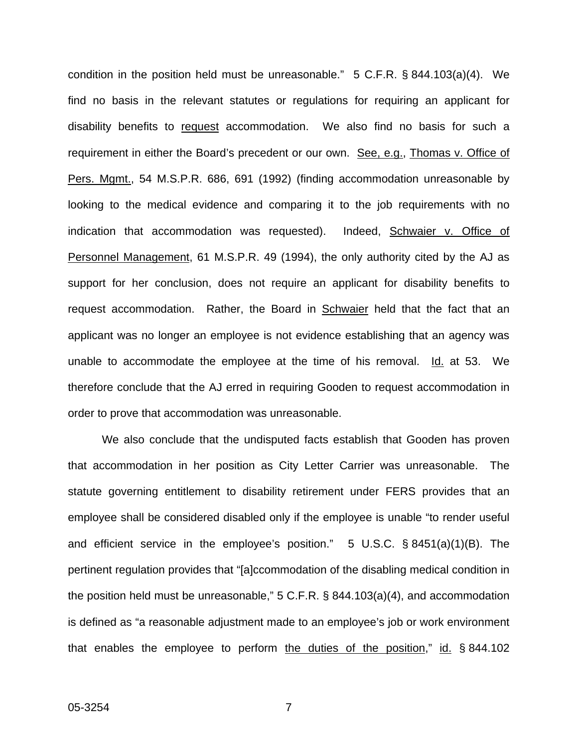condition in the position held must be unreasonable." 5 C.F.R. § 844.103(a)(4). We find no basis in the relevant statutes or regulations for requiring an applicant for disability benefits to request accommodation. We also find no basis for such a requirement in either the Board's precedent or our own. See, e.g., Thomas v. Office of Pers. Mgmt., 54 M.S.P.R. 686, 691 (1992) (finding accommodation unreasonable by looking to the medical evidence and comparing it to the job requirements with no indication that accommodation was requested). Indeed, Schwaier v. Office of Personnel Management, 61 M.S.P.R. 49 (1994), the only authority cited by the AJ as support for her conclusion, does not require an applicant for disability benefits to request accommodation. Rather, the Board in Schwaier held that the fact that an applicant was no longer an employee is not evidence establishing that an agency was unable to accommodate the employee at the time of his removal. Id. at 53. We therefore conclude that the AJ erred in requiring Gooden to request accommodation in order to prove that accommodation was unreasonable.

We also conclude that the undisputed facts establish that Gooden has proven that accommodation in her position as City Letter Carrier was unreasonable. The statute governing entitlement to disability retirement under FERS provides that an employee shall be considered disabled only if the employee is unable "to render useful and efficient service in the employee's position." 5 U.S.C. § 8451(a)(1)(B). The pertinent regulation provides that "[a]ccommodation of the disabling medical condition in the position held must be unreasonable," 5 C.F.R. § 844.103(a)(4), and accommodation is defined as "a reasonable adjustment made to an employee's job or work environment that enables the employee to perform the duties of the position," id. § 844.102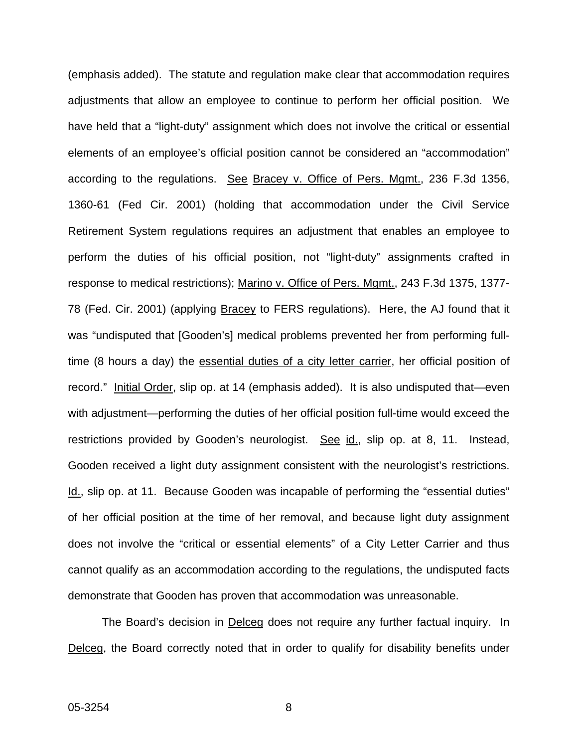(emphasis added). The statute and regulation make clear that accommodation requires adjustments that allow an employee to continue to perform her official position. We have held that a "light-duty" assignment which does not involve the critical or essential elements of an employee's official position cannot be considered an "accommodation" according to the regulations. See Bracey v. Office of Pers. Mgmt., 236 F.3d 1356, 1360-61 (Fed Cir. 2001) (holding that accommodation under the Civil Service Retirement System regulations requires an adjustment that enables an employee to perform the duties of his official position, not "light-duty" assignments crafted in response to medical restrictions); Marino v. Office of Pers. Mgmt., 243 F.3d 1375, 1377-78 (Fed. Cir. 2001) (applying Bracey to FERS regulations). Here, the AJ found that it was "undisputed that [Gooden's] medical problems prevented her from performing fulltime (8 hours a day) the essential duties of a city letter carrier, her official position of record." Initial Order, slip op. at 14 (emphasis added). It is also undisputed that—even with adjustment—performing the duties of her official position full-time would exceed the restrictions provided by Gooden's neurologist. See id., slip op. at 8, 11. Instead, Gooden received a light duty assignment consistent with the neurologist's restrictions. Id., slip op. at 11. Because Gooden was incapable of performing the "essential duties" of her official position at the time of her removal, and because light duty assignment does not involve the "critical or essential elements" of a City Letter Carrier and thus cannot qualify as an accommodation according to the regulations, the undisputed facts demonstrate that Gooden has proven that accommodation was unreasonable.

The Board's decision in Delceg does not require any further factual inquiry. In Delceg, the Board correctly noted that in order to qualify for disability benefits under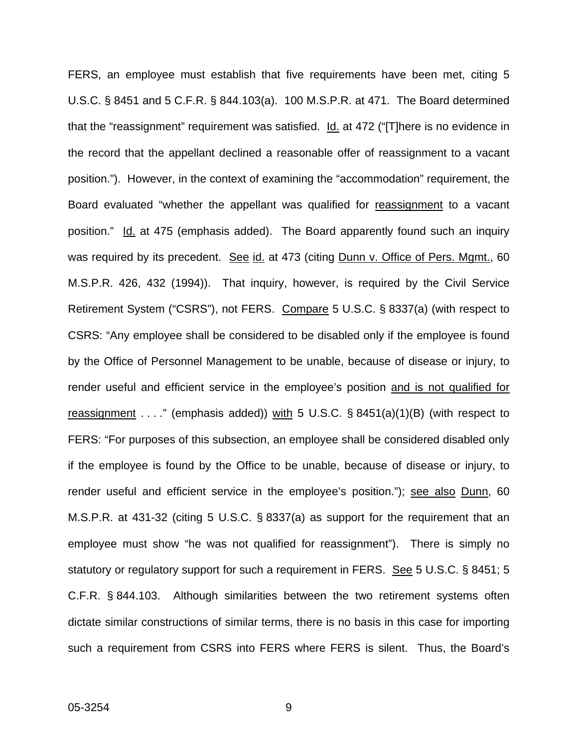FERS, an employee must establish that five requirements have been met, citing 5 U.S.C. § 8451 and 5 C.F.R. § 844.103(a). 100 M.S.P.R. at 471. The Board determined that the "reassignment" requirement was satisfied. Id. at 472 ("[T]here is no evidence in the record that the appellant declined a reasonable offer of reassignment to a vacant position."). However, in the context of examining the "accommodation" requirement, the Board evaluated "whether the appellant was qualified for reassignment to a vacant position." Id. at 475 (emphasis added). The Board apparently found such an inquiry was required by its precedent. See id. at 473 (citing Dunn v. Office of Pers. Mgmt., 60 M.S.P.R. 426, 432 (1994)). That inquiry, however, is required by the Civil Service Retirement System ("CSRS"), not FERS. Compare 5 U.S.C. § 8337(a) (with respect to CSRS: "Any employee shall be considered to be disabled only if the employee is found by the Office of Personnel Management to be unable, because of disease or injury, to render useful and efficient service in the employee's position and is not qualified for reassignment . . . ." (emphasis added)) with 5 U.S.C.  $\S$  8451(a)(1)(B) (with respect to FERS: "For purposes of this subsection, an employee shall be considered disabled only if the employee is found by the Office to be unable, because of disease or injury, to render useful and efficient service in the employee's position."); see also Dunn, 60 M.S.P.R. at 431-32 (citing 5 U.S.C. § 8337(a) as support for the requirement that an employee must show "he was not qualified for reassignment"). There is simply no statutory or regulatory support for such a requirement in FERS. See 5 U.S.C. § 8451; 5 C.F.R. § 844.103. Although similarities between the two retirement systems often dictate similar constructions of similar terms, there is no basis in this case for importing such a requirement from CSRS into FERS where FERS is silent. Thus, the Board's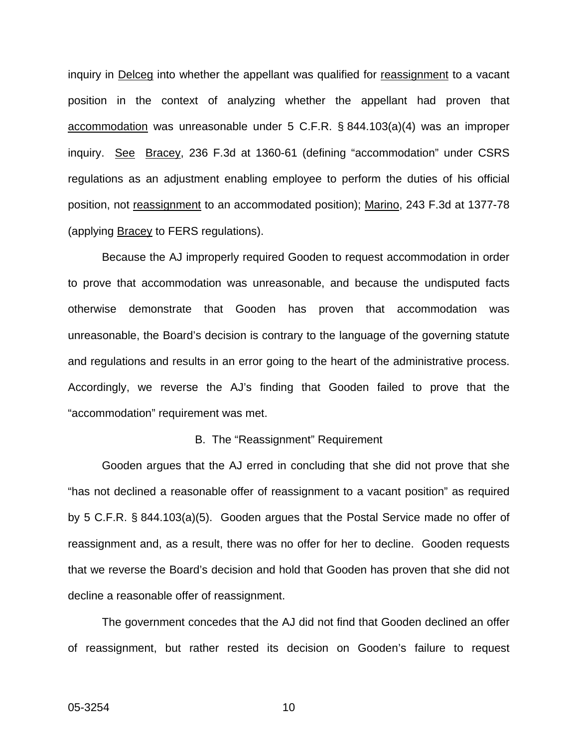inquiry in Delceg into whether the appellant was qualified for reassignment to a vacant position in the context of analyzing whether the appellant had proven that accommodation was unreasonable under 5 C.F.R. § 844.103(a)(4) was an improper inquiry. See Bracey, 236 F.3d at 1360-61 (defining "accommodation" under CSRS regulations as an adjustment enabling employee to perform the duties of his official position, not reassignment to an accommodated position); Marino, 243 F.3d at 1377-78 (applying Bracey to FERS regulations).

Because the AJ improperly required Gooden to request accommodation in order to prove that accommodation was unreasonable, and because the undisputed facts otherwise demonstrate that Gooden has proven that accommodation was unreasonable, the Board's decision is contrary to the language of the governing statute and regulations and results in an error going to the heart of the administrative process. Accordingly, we reverse the AJ's finding that Gooden failed to prove that the "accommodation" requirement was met.

#### B. The "Reassignment" Requirement

Gooden argues that the AJ erred in concluding that she did not prove that she "has not declined a reasonable offer of reassignment to a vacant position" as required by 5 C.F.R. § 844.103(a)(5). Gooden argues that the Postal Service made no offer of reassignment and, as a result, there was no offer for her to decline. Gooden requests that we reverse the Board's decision and hold that Gooden has proven that she did not decline a reasonable offer of reassignment.

The government concedes that the AJ did not find that Gooden declined an offer of reassignment, but rather rested its decision on Gooden's failure to request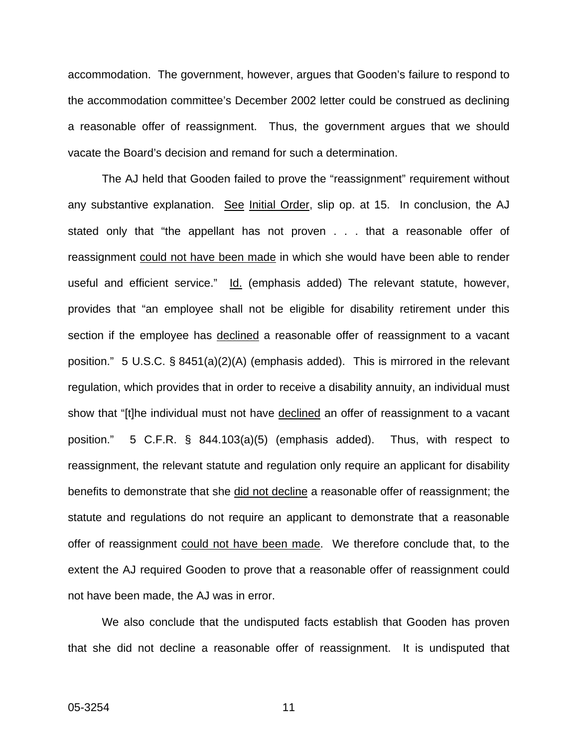accommodation. The government, however, argues that Gooden's failure to respond to the accommodation committee's December 2002 letter could be construed as declining a reasonable offer of reassignment. Thus, the government argues that we should vacate the Board's decision and remand for such a determination.

The AJ held that Gooden failed to prove the "reassignment" requirement without any substantive explanation. See Initial Order, slip op. at 15. In conclusion, the AJ stated only that "the appellant has not proven . . . that a reasonable offer of reassignment could not have been made in which she would have been able to render useful and efficient service." Id. (emphasis added) The relevant statute, however, provides that "an employee shall not be eligible for disability retirement under this section if the employee has declined a reasonable offer of reassignment to a vacant position." 5 U.S.C. § 8451(a)(2)(A) (emphasis added). This is mirrored in the relevant regulation, which provides that in order to receive a disability annuity, an individual must show that "[t]he individual must not have declined an offer of reassignment to a vacant position." 5 C.F.R. § 844.103(a)(5) (emphasis added). Thus, with respect to reassignment, the relevant statute and regulation only require an applicant for disability benefits to demonstrate that she did not decline a reasonable offer of reassignment; the statute and regulations do not require an applicant to demonstrate that a reasonable offer of reassignment could not have been made. We therefore conclude that, to the extent the AJ required Gooden to prove that a reasonable offer of reassignment could not have been made, the AJ was in error.

We also conclude that the undisputed facts establish that Gooden has proven that she did not decline a reasonable offer of reassignment. It is undisputed that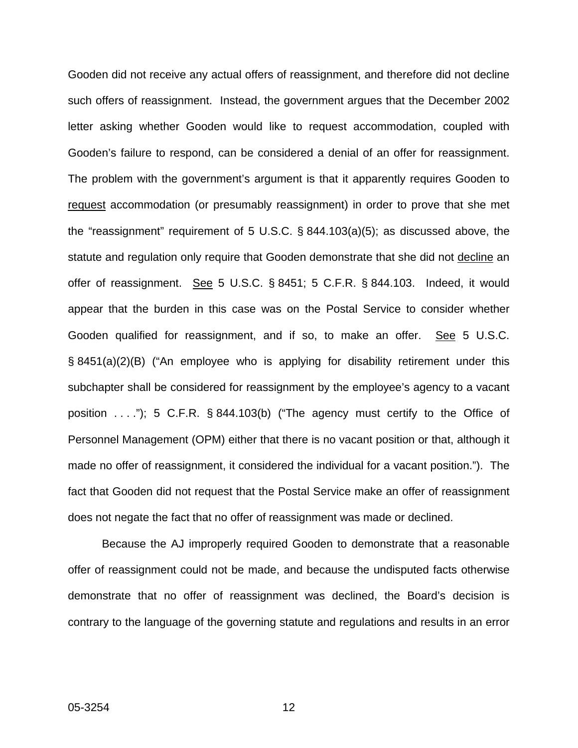Gooden did not receive any actual offers of reassignment, and therefore did not decline such offers of reassignment. Instead, the government argues that the December 2002 letter asking whether Gooden would like to request accommodation, coupled with Gooden's failure to respond, can be considered a denial of an offer for reassignment. The problem with the government's argument is that it apparently requires Gooden to request accommodation (or presumably reassignment) in order to prove that she met the "reassignment" requirement of 5 U.S.C. § 844.103(a)(5); as discussed above, the statute and regulation only require that Gooden demonstrate that she did not decline an offer of reassignment. See 5 U.S.C. § 8451; 5 C.F.R. § 844.103. Indeed, it would appear that the burden in this case was on the Postal Service to consider whether Gooden qualified for reassignment, and if so, to make an offer. See 5 U.S.C. § 8451(a)(2)(B) ("An employee who is applying for disability retirement under this subchapter shall be considered for reassignment by the employee's agency to a vacant position  $\dots$ ."); 5 C.F.R. § 844.103(b) ("The agency must certify to the Office of Personnel Management (OPM) either that there is no vacant position or that, although it made no offer of reassignment, it considered the individual for a vacant position."). The fact that Gooden did not request that the Postal Service make an offer of reassignment does not negate the fact that no offer of reassignment was made or declined.

Because the AJ improperly required Gooden to demonstrate that a reasonable offer of reassignment could not be made, and because the undisputed facts otherwise demonstrate that no offer of reassignment was declined, the Board's decision is contrary to the language of the governing statute and regulations and results in an error